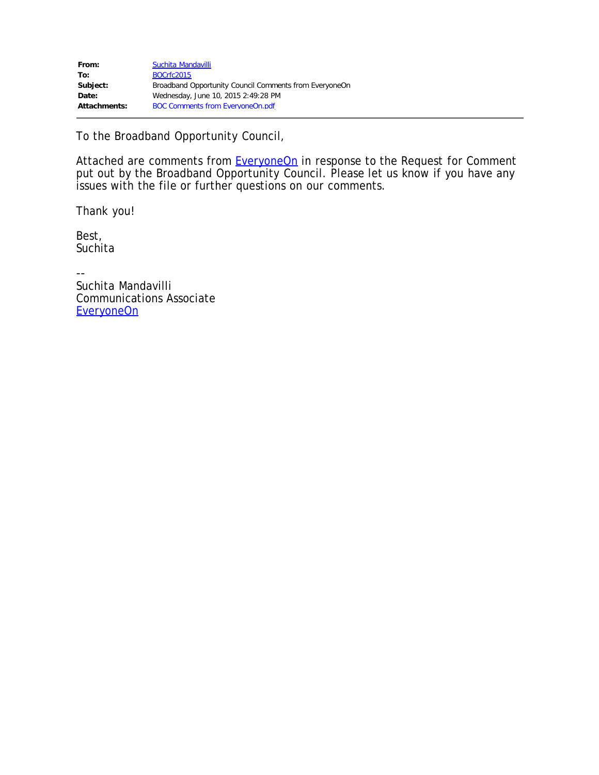To the Broadband Opportunity Council,

Attached are comments from **EveryoneOn** in response to the Request for Comment put out by the Broadband Opportunity Council. Please let us know if you have any issues with the file or further questions on our comments.

Thank you!

Best, **Suchita** 

-- Suchita Mandavilli Communications Associate [EveryoneOn](http://everyoneon.org/)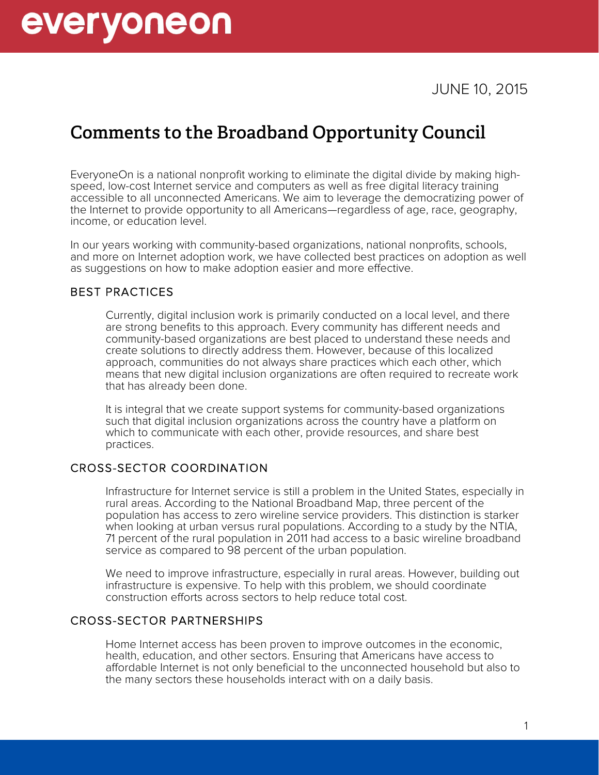

# **Comments to the Broadband Opportunity Council**

EveryoneOn is a national nonprofit working to eliminate the digital divide by making high- speed, low-cost Internet service and computers as well as free digital literacy training accessible to all unconnected Americans. We aim to leverage the democratizing power of the Internet to provide opportunity to all Americans—regardless of age, race, geography, income, or education level.

In our years working with community-based organizations, national nonprofits, schools, and more on Internet adoption work, we have collected best practices on adoption as well as suggestions on how to make adoption easier and more effective.

#### BEST PRACTICES

Currently, digital inclusion work is primarily conducted on a local level, and there are strong benefits to this approach. Every community has different needs and community-based organizations are best placed to understand these needs and create solutions to directly address them. However, because of this localized approach, communities do not always share practices which each other, which means that new digital inclusion organizations are often required to recreate work that has already been done.

It is integral that we create support systems for community-based organizations such that digital inclusion organizations across the country have a platform on which to communicate with each other, provide resources, and share best practices.

## CROSS-SECTOR COORDINATION

Infrastructure for Internet service is still a problem in the United States, especially in rural areas. According to the National Broadband Map, three percent of the population has access to zero wireline service providers. This distinction is starker when looking at urban versus rural populations. According to a study by the NTIA, 71 percent of the rural population in 2011 had access to a basic wireline broadband service as compared to 98 percent of the urban population.

We need to improve infrastructure, especially in rural areas. However, building out infrastructure is expensive. To help with this problem, we should coordinate construction efforts across sectors to help reduce total cost.

#### CROSS-SECTOR PARTNERSHIPS

Home Internet access has been proven to improve outcomes in the economic, health, education, and other sectors. Ensuring that Americans have access to affordable Internet is not only beneficial to the unconnected household but also to the many sectors these households interact with on a daily basis.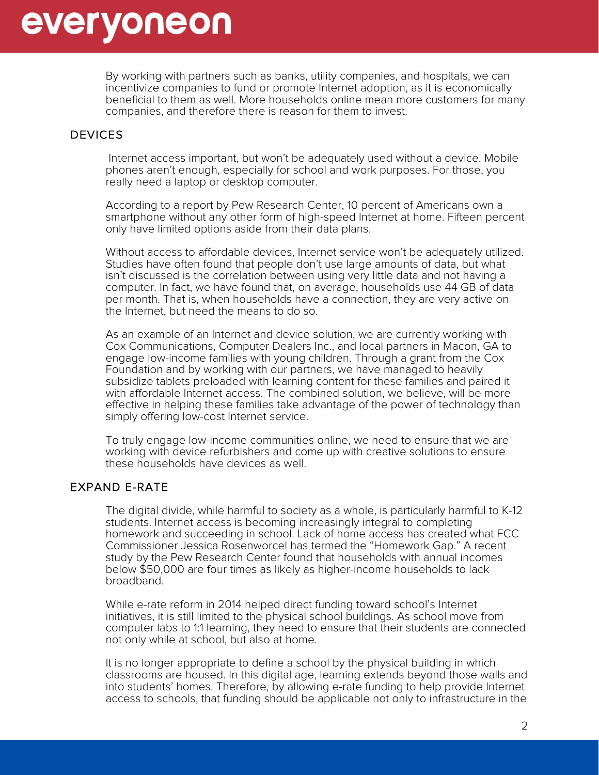

By working with partners such as banks, utility companies, and hospitals, we can incentivize companies to fund or promote Internet adoption, as it is economically beneficial to them as well. More households online mean more customers for many companies, and therefore there is reason for them to invest.

#### **DEVICES**

Internet access important, but won't be adequately used without a device. Mobile phones aren't enough, especially for school and work purposes. For those, you really need a laptop or desktop computer.

According to a report by Pew Research Center, 10 percent of Americans own a smartphone without any other form of high-speed Internet at home. Fifteen percent only have limited options aside from their data plans.

Without access to affordable devices, Internet service won't be adequately utilized. Studies have often found that people don't use large amounts of data, but what isn't discussed is the correlation between using very little data and not having a computer. In fact, we have found that, on average, households use 44 GB of data per month. That is, when households have a connection, they are very active on the Internet, but need the means to do so.

As an example of an Internet and device solution, we are currently working with Cox Communications, Computer Dealers Inc., and local partners in Macon, GA to engage low-income families with young children. Through a grant from the Cox Foundation and by working with our partners, we have managed to heavily subsidize tablets preloaded with learning content for these families and paired it with affordable Internet access. The combined solution, we believe, will be more effective in helping these families take advantage of the power of technology than simply offering low-cost Internet service.

To truly engage low-income communities online, we need to ensure that we are working with device refurbishers and come up with creative solutions to ensure these households have devices as well.

EXPAND E-RATE<br>The digital divide, while harmful to society as a whole, is particularly harmful to K-12 students. Internet access is becoming increasingly integral to completing homework and succeeding in school. Lack of home access has created what FCC Commissioner Jessica Rosenworcel has termed the "Homework Gap." A recent study by the Pew Research Center found that households with annual incomes below \$50,000 are four times as likely as higher-income households to lack broadband.

While e-rate reform in 2014 helped direct funding toward school's Internet initiatives, it is still limited to the physical school buildings. As school move from computer labs to 1:1 learning, they need to ensure that their students are connected not only while at school, but also at home.

It is no longer appropriate to define a school by the physical building in which classrooms are housed. In this digital age, learning extends beyond those walls and into students' homes. Therefore, by allowing e-rate funding to help provide Internet access to schools, that funding should be applicable not only to infrastructure in the